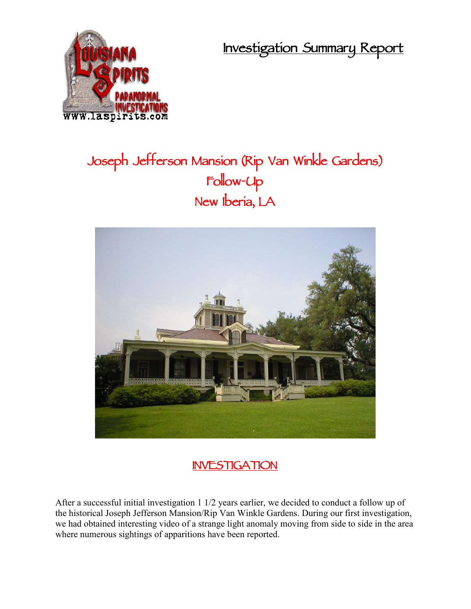**Investigation Summary Report**



## **Joseph Jefferson Mansion (Rip Van Winkle Gardens) Follow-Up New Iberia, LA**



## **INVESTIGATION**

After a successful initial investigation 1 1/2 years earlier, we decided to conduct a follow up of the historical Joseph Jefferson Mansion/Rip Van Winkle Gardens. During our first investigation, we had obtained interesting video of a strange light anomaly moving from side to side in the area where numerous sightings of apparitions have been reported.